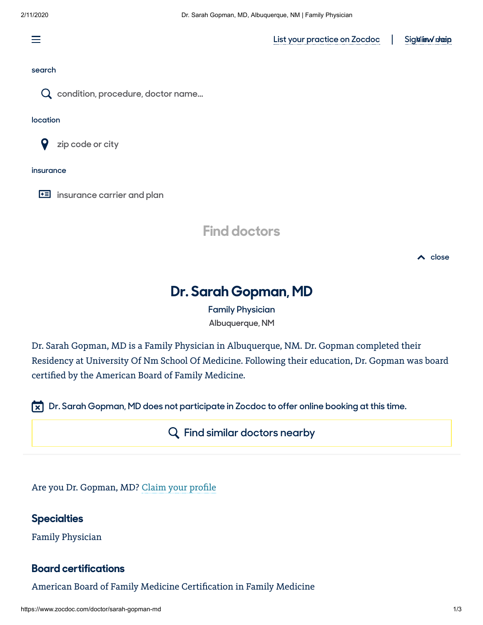三

**[List your practice on Zocdoc](https://www.zocdoc.com/join)** 

Sig Milew draip

#### **search**



**condition, procedure, doctor name...**

#### **location**



**zip code or city**

#### **insurance**

**iE** insurance carrier and plan



**close**

# **Dr. Sarah Gopman, MD**

**[Family Physician](https://www.zocdoc.com/primary-care-doctors) Albuquerque, NM**

Dr. Sarah Gopman, MD is a Family Physician in Albuquerque, NM. Dr. Gopman completed their Residency at University Of Nm School Of Medicine. Following their education, Dr. Gopman was board certified by the American Board of Family Medicine.

**Dr. Sarah Gopman, MD does not participate in Zocdoc to offer online booking at this time.**

**[Find similar doctors nearby](https://www.zocdoc.com/search/?referrerType=PreviewProfile&address=2211%20Lomas%20Blvd%20NE,%20Albuquerque,%20NM&dr_specialty=102)**

Are you Dr. Gopman, MD? Claim your profile

### **Specialties**

Family Physician

#### **Board certifications**

American Board of Family Medicine Certification in Family Medicine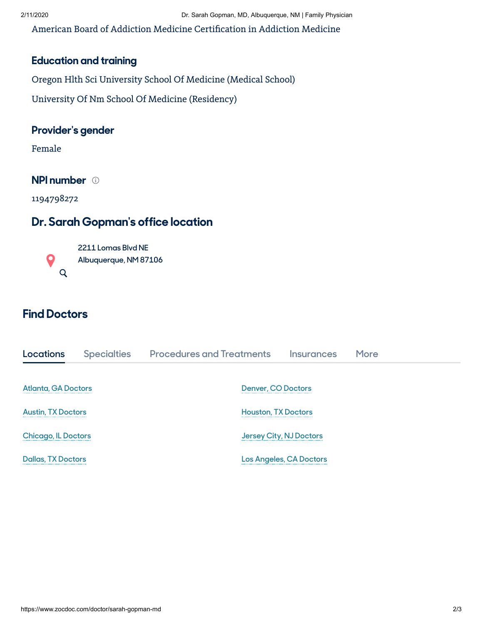American Board of Addiction Medicine Certification in Addiction Medicine

## **Education and training**

Oregon Hlth Sci University School Of Medicine (Medical School)

University Of Nm School Of Medicine (Residency)

### **Provider's gender**

Female

**NPI number**

1194798272

## **Dr. Sarah Gopman's office location**



# **Find Doctors**

| Locations                  | <b>Specialties</b> | <b>Procedures and Treatments</b> | <b>Insurances</b>              | More |  |  |
|----------------------------|--------------------|----------------------------------|--------------------------------|------|--|--|
|                            |                    |                                  |                                |      |  |  |
| <b>Atlanta, GA Doctors</b> |                    |                                  | <b>Denver, CO Doctors</b>      |      |  |  |
| <b>Austin, TX Doctors</b>  |                    |                                  | <b>Houston, TX Doctors</b>     |      |  |  |
| <b>Chicago, IL Doctors</b> |                    |                                  | Jersey City, NJ Doctors        |      |  |  |
| <b>Dallas, TX Doctors</b>  |                    |                                  | <b>Los Angeles, CA Doctors</b> |      |  |  |